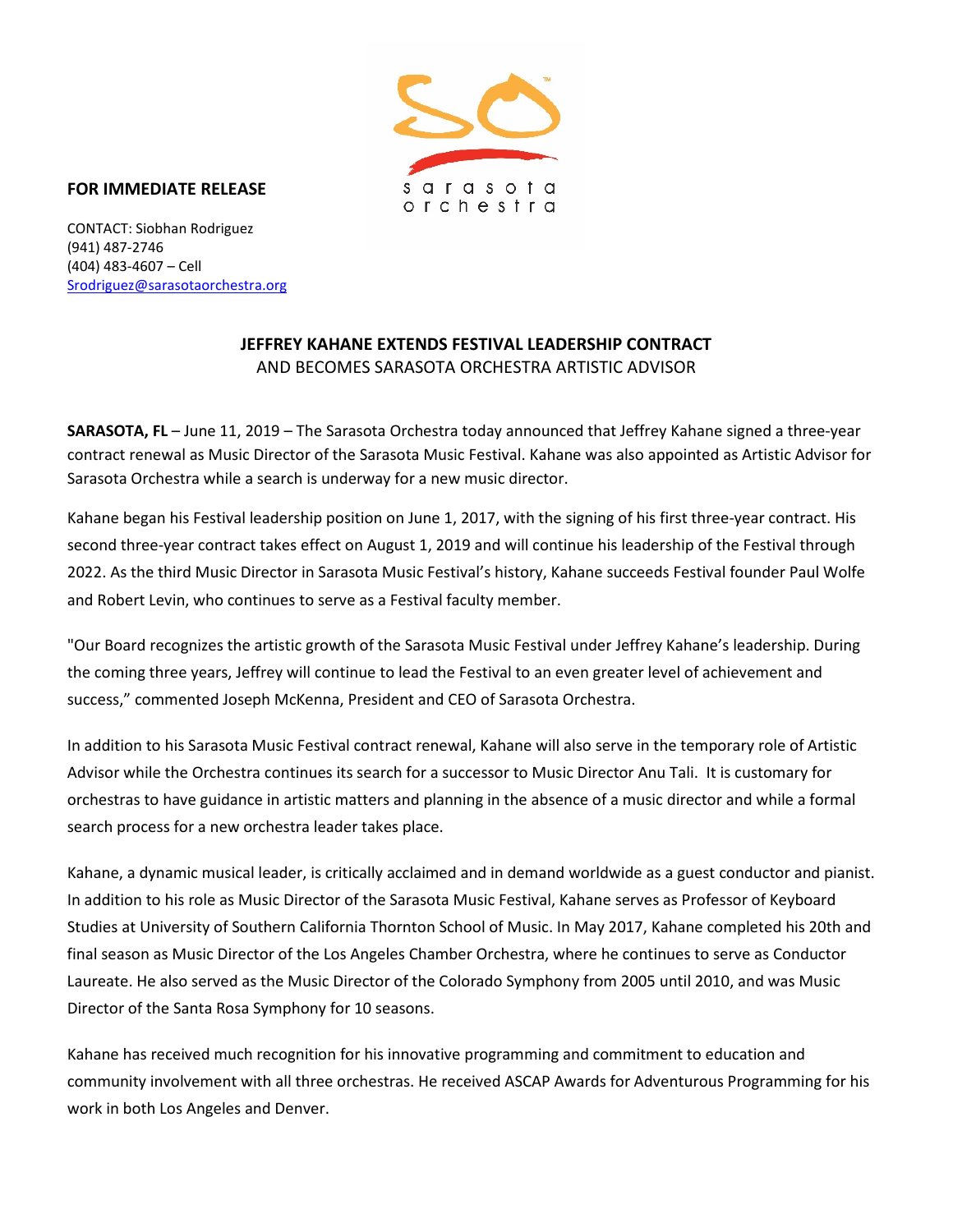

## **FOR IMMEDIATE RELEASE**

CONTACT: Siobhan Rodriguez (941) 487-2746 (404) 483-4607 – Cell [Srodriguez@sarasotaorchestra.org](mailto:Srodriguez@sarasotaorchestra.org)

## **JEFFREY KAHANE EXTENDS FESTIVAL LEADERSHIP CONTRACT** AND BECOMES SARASOTA ORCHESTRA ARTISTIC ADVISOR

**SARASOTA, FL** – June 11, 2019 – The Sarasota Orchestra today announced that Jeffrey Kahane signed a three-year contract renewal as Music Director of the Sarasota Music Festival. Kahane was also appointed as Artistic Advisor for Sarasota Orchestra while a search is underway for a new music director.

Kahane began his Festival leadership position on June 1, 2017, with the signing of his first three-year contract. His second three-year contract takes effect on August 1, 2019 and will continue his leadership of the Festival through 2022. As the third Music Director in Sarasota Music Festival's history, Kahane succeeds Festival founder Paul Wolfe and Robert Levin, who continues to serve as a Festival faculty member.

"Our Board recognizes the artistic growth of the Sarasota Music Festival under Jeffrey Kahane's leadership. During the coming three years, Jeffrey will continue to lead the Festival to an even greater level of achievement and success," commented Joseph McKenna, President and CEO of Sarasota Orchestra.

In addition to his Sarasota Music Festival contract renewal, Kahane will also serve in the temporary role of Artistic Advisor while the Orchestra continues its search for a successor to Music Director Anu Tali. It is customary for orchestras to have guidance in artistic matters and planning in the absence of a music director and while a formal search process for a new orchestra leader takes place.

Kahane, a dynamic musical leader, is critically acclaimed and in demand worldwide as a guest conductor and pianist. In addition to his role as Music Director of the Sarasota Music Festival, Kahane serves as Professor of Keyboard Studies at University of Southern California Thornton School of Music. In May 2017, Kahane completed his 20th and final season as Music Director of the Los Angeles Chamber Orchestra, where he continues to serve as Conductor Laureate. He also served as the Music Director of the Colorado Symphony from 2005 until 2010, and was Music Director of the Santa Rosa Symphony for 10 seasons.

Kahane has received much recognition for his innovative programming and commitment to education and community involvement with all three orchestras. He received ASCAP Awards for Adventurous Programming for his work in both Los Angeles and Denver.